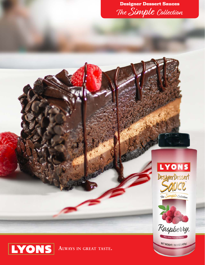







NET WEIGHT: 15.5 0Z (439g)



**Always in great taste.**